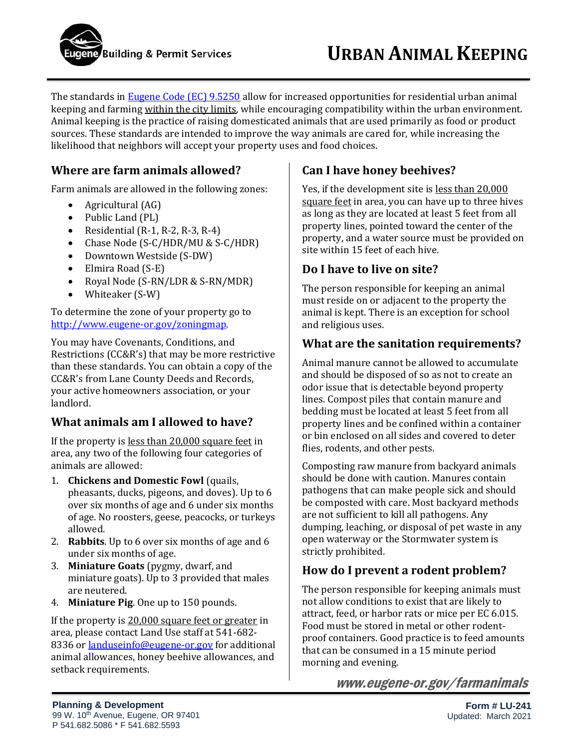

The standards in [Eugene Code \(EC\) 9.5250](https://eugene.municipal.codes/EC/9.5250) allow for increased opportunities for residential urban animal keeping and farming within the city limits, while encouraging compatibility within the urban environment. Animal keeping is the practice of raising domesticated animals that are used primarily as food or product sources. These standards are intended to improve the way animals are cared for, while increasing the likelihood that neighbors will accept your property uses and food choices.

### **Where are farm animals allowed?**

Farm animals are allowed in the following zones:

- Agricultural (AG)
- Public Land (PL)
- Residential  $(R-1, R-2, R-3, R-4)$
- Chase Node (S-C/HDR/MU & S-C/HDR)
- Downtown Westside (S-DW)
- Elmira Road (S-E)
- Royal Node (S-RN/LDR & S-RN/MDR)
- Whiteaker (S-W)

To determine the zone of your property go to [http://www.eugene-or.gov/zoningmap.](http://www.eugene-or.gov/zoningmap) 

You may have Covenants, Conditions, and Restrictions (CC&R's) that may be more restrictive than these standards. You can obtain a copy of the CC&R's from Lane County Deeds and Records, your active homeowners association, or your landlord.

### **What animals am I allowed to have?**

If the property is less than 20,000 square feet in area, any two of the following four categories of animals are allowed:

- 1. **Chickens and Domestic Fowl** (quails, pheasants, ducks, pigeons, and doves). Up to 6 over six months of age and 6 under six months of age. No roosters, geese, peacocks, or turkeys allowed.
- 2. **Rabbits**. Up to 6 over six months of age and 6 under six months of age.
- 3. **Miniature Goats** (pygmy, dwarf, and miniature goats). Up to 3 provided that males are neutered.
- 4. **Miniature Pig**. One up to 150 pounds.

If the property is 20,000 square feet or greater in area, please contact Land Use staff at 541-682 8336 o[r landuseinfo@eugene-or.gov](mailto:landuseinfo@eugene-or.gov) for additional animal allowances, honey beehive allowances, and setback requirements.

# **Can I have honey beehives?**

Yes, if the development site is less than 20,000 square feet in area, you can have up to three hives as long as they are located at least 5 feet from all property lines, pointed toward the center of the property, and a water source must be provided on site within 15 feet of each hive.

### **Do I have to live on site?**

The person responsible for keeping an animal must reside on or adjacent to the property the animal is kept. There is an exception for school and religious uses.

#### **What are the sanitation requirements?**

Animal manure cannot be allowed to accumulate and should be disposed of so as not to create an odor issue that is detectable beyond property lines. Compost piles that contain manure and bedding must be located at least 5 feet from all property lines and be confined within a container or bin enclosed on all sides and covered to deter flies, rodents, and other pests.

Composting raw manure from backyard animals should be done with caution. Manures contain pathogens that can make people sick and should be composted with care. Most backyard methods are not sufficient to kill all pathogens. Any dumping, leaching, or disposal of pet waste in any open waterway or the Stormwater system is strictly prohibited.

## **How do I prevent a rodent problem?**

The person responsible for keeping animals must not allow conditions to exist that are likely to attract, feed, or harbor rats or mice per EC 6.015. Food must be stored in metal or other rodentproof containers. Good practice is to feed amounts that can be consumed in a 15 minute period morning and evening.

www.eugene-or.gov/farmanimals